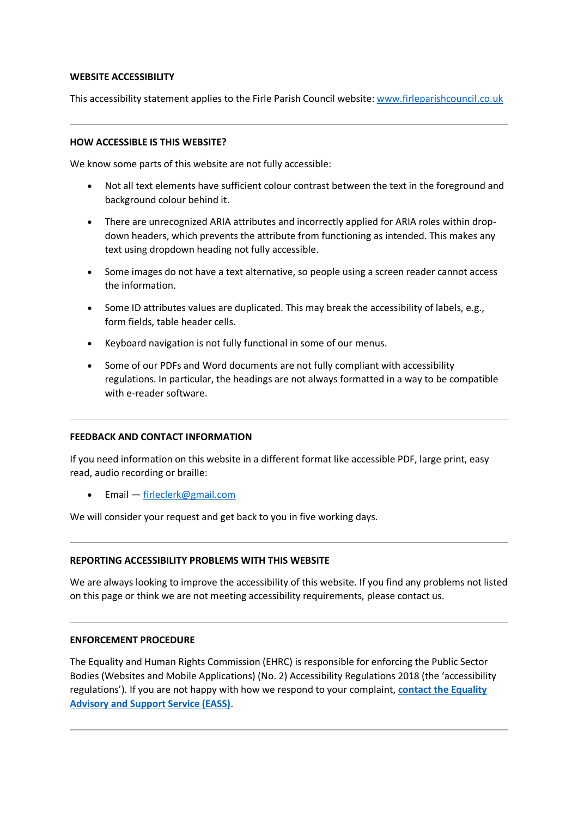## **WEBSITE ACCESSIBILITY**

This accessibility statement applies to the Firle Parish Council website: [www.firleparishcouncil.co.uk](http://www.firleparishcouncil.co.uk/)

## **HOW ACCESSIBLE IS THIS WEBSITE?**

We know some parts of this website are not fully accessible:

- Not all text elements have sufficient colour contrast between the text in the foreground and background colour behind it.
- There are unrecognized ARIA attributes and incorrectly applied for ARIA roles within dropdown headers, which prevents the attribute from functioning as intended. This makes any text using dropdown heading not fully accessible.
- Some images do not have a text alternative, so people using a screen reader cannot access the information.
- Some ID attributes values are duplicated. This may break the accessibility of labels, e.g., form fields, table header cells.
- Keyboard navigation is not fully functional in some of our menus.
- Some of our PDFs and Word documents are not fully compliant with accessibility regulations. In particular, the headings are not always formatted in a way to be compatible with e-reader software.

#### **FEEDBACK AND CONTACT INFORMATION**

If you need information on this website in a different format like accessible PDF, large print, easy read, audio recording or braille:

• Email — [firleclerk@gmail.com](mailto:firleclerk@gmail.com)

We will consider your request and get back to you in five working days.

# **REPORTING ACCESSIBILITY PROBLEMS WITH THIS WEBSITE**

We are always looking to improve the accessibility of this website. If you find any problems not listed on this page or think we are not meeting accessibility requirements, please contact us.

#### **ENFORCEMENT PROCEDURE**

The Equality and Human Rights Commission (EHRC) is responsible for enforcing the Public Sector Bodies (Websites and Mobile Applications) (No. 2) Accessibility Regulations 2018 (the 'accessibility regulations'). If you are not happy with how we respond to your complaint, **[contact the Equality](https://www.equalityadvisoryservice.com/)  [Advisory and Support Service \(EASS\)](https://www.equalityadvisoryservice.com/)**.